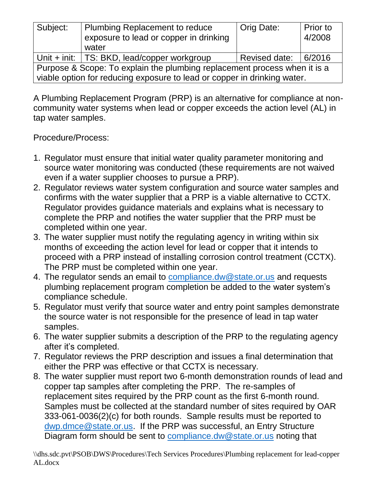| Subject:                                                                                                                                              | Plumbing Replacement to reduce<br>exposure to lead or copper in drinking<br>water | Orig Date:    | Prior to<br>4/2008 |
|-------------------------------------------------------------------------------------------------------------------------------------------------------|-----------------------------------------------------------------------------------|---------------|--------------------|
|                                                                                                                                                       | Unit + init:   TS: BKD, lead/copper workgroup                                     | Revised date: | 6/2016             |
| Purpose & Scope: To explain the plumbing replacement process when it is a<br>viable option for reducing exposure to lead or copper in drinking water. |                                                                                   |               |                    |

A Plumbing Replacement Program (PRP) is an alternative for compliance at noncommunity water systems when lead or copper exceeds the action level (AL) in tap water samples.

Procedure/Process:

- 1. Regulator must ensure that initial water quality parameter monitoring and source water monitoring was conducted (these requirements are not waived even if a water supplier chooses to pursue a PRP).
- 2. Regulator reviews water system configuration and source water samples and confirms with the water supplier that a PRP is a viable alternative to CCTX. Regulator provides guidance materials and explains what is necessary to complete the PRP and notifies the water supplier that the PRP must be completed within one year.
- 3. The water supplier must notify the regulating agency in writing within six months of exceeding the action level for lead or copper that it intends to proceed with a PRP instead of installing corrosion control treatment (CCTX). The PRP must be completed within one year.
- 4. The regulator sends an email to [compliance.dw@state.or.us](mailto:compliance.dw@state.or.us) and requests plumbing replacement program completion be added to the water system's compliance schedule.
- 5. Regulator must verify that source water and entry point samples demonstrate the source water is not responsible for the presence of lead in tap water samples.
- 6. The water supplier submits a description of the PRP to the regulating agency after it's completed.
- 7. Regulator reviews the PRP description and issues a final determination that either the PRP was effective or that CCTX is necessary.
- 8. The water supplier must report two 6-month demonstration rounds of lead and copper tap samples after completing the PRP. The re-samples of replacement sites required by the PRP count as the first 6-month round. Samples must be collected at the standard number of sites required by OAR 333-061-0036(2)(c) for both rounds. Sample results must be reported to [dwp.dmce@state.or.us.](mailto:dwp.dmce@state.or.us) If the PRP was successful, an Entry Structure Diagram form should be sent to [compliance.dw@state.or.us](mailto:compliance.dw@state.or.us) noting that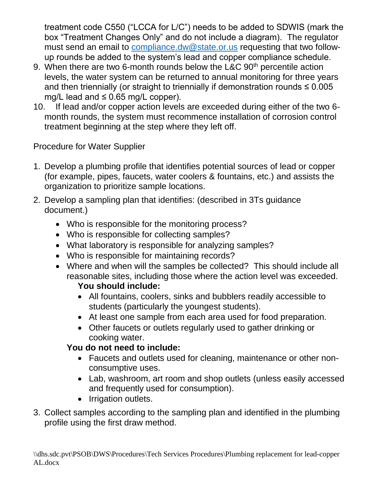treatment code C550 ("LCCA for L/C") needs to be added to SDWIS (mark the box "Treatment Changes Only" and do not include a diagram). The regulator must send an email to [compliance.dw@state.or.us](mailto:compliance.dw@state.or.us) requesting that two followup rounds be added to the system's lead and copper compliance schedule.

- 9. When there are two 6-month rounds below the L&C  $90<sup>th</sup>$  percentile action levels, the water system can be returned to annual monitoring for three years and then triennially (or straight to triennially if demonstration rounds  $\leq 0.005$ mg/L lead and  $\leq 0.65$  mg/L copper).
- 10. If lead and/or copper action levels are exceeded during either of the two 6 month rounds, the system must recommence installation of corrosion control treatment beginning at the step where they left off.

Procedure for Water Supplier

- 1. Develop a plumbing profile that identifies potential sources of lead or copper (for example, pipes, faucets, water coolers & fountains, etc.) and assists the organization to prioritize sample locations.
- 2. Develop a sampling plan that identifies: (described in 3Ts guidance document.)
	- Who is responsible for the monitoring process?
	- Who is responsible for collecting samples?
	- What laboratory is responsible for analyzing samples?
	- Who is responsible for maintaining records?
	- Where and when will the samples be collected? This should include all reasonable sites, including those where the action level was exceeded.

## **You should include:**

- All fountains, coolers, sinks and bubblers readily accessible to students (particularly the youngest students).
- At least one sample from each area used for food preparation.
- Other faucets or outlets regularly used to gather drinking or cooking water.

## **You do not need to include:**

- Faucets and outlets used for cleaning, maintenance or other nonconsumptive uses.
- Lab, washroom, art room and shop outlets (unless easily accessed and frequently used for consumption).
- Irrigation outlets.
- 3. Collect samples according to the sampling plan and identified in the plumbing profile using the first draw method.